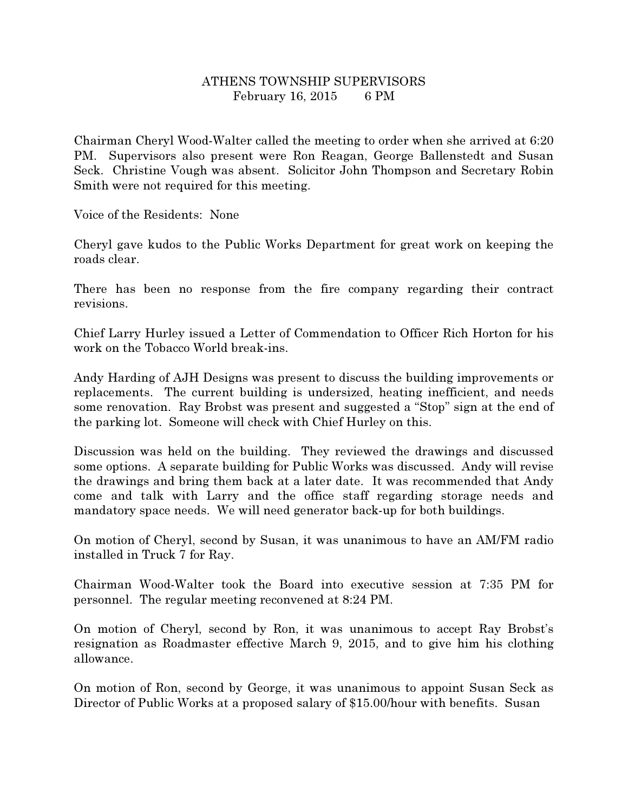## ATHENS TOWNSHIP SUPERVISORS February 16, 2015 6 PM

Chairman Cheryl Wood-Walter called the meeting to order when she arrived at 6:20 PM. Supervisors also present were Ron Reagan, George Ballenstedt and Susan Seck. Christine Vough was absent. Solicitor John Thompson and Secretary Robin Smith were not required for this meeting.

Voice of the Residents: None

Cheryl gave kudos to the Public Works Department for great work on keeping the roads clear.

There has been no response from the fire company regarding their contract revisions.

Chief Larry Hurley issued a Letter of Commendation to Officer Rich Horton for his work on the Tobacco World break-ins.

Andy Harding of AJH Designs was present to discuss the building improvements or replacements. The current building is undersized, heating inefficient, and needs some renovation. Ray Brobst was present and suggested a "Stop" sign at the end of the parking lot. Someone will check with Chief Hurley on this.

Discussion was held on the building. They reviewed the drawings and discussed some options. A separate building for Public Works was discussed. Andy will revise the drawings and bring them back at a later date. It was recommended that Andy come and talk with Larry and the office staff regarding storage needs and mandatory space needs. We will need generator back-up for both buildings.

On motion of Cheryl, second by Susan, it was unanimous to have an AM/FM radio installed in Truck 7 for Ray.

Chairman Wood-Walter took the Board into executive session at 7:35 PM for personnel. The regular meeting reconvened at 8:24 PM.

On motion of Cheryl, second by Ron, it was unanimous to accept Ray Brobst's resignation as Roadmaster effective March 9, 2015, and to give him his clothing allowance.

On motion of Ron, second by George, it was unanimous to appoint Susan Seck as Director of Public Works at a proposed salary of \$15.00/hour with benefits. Susan